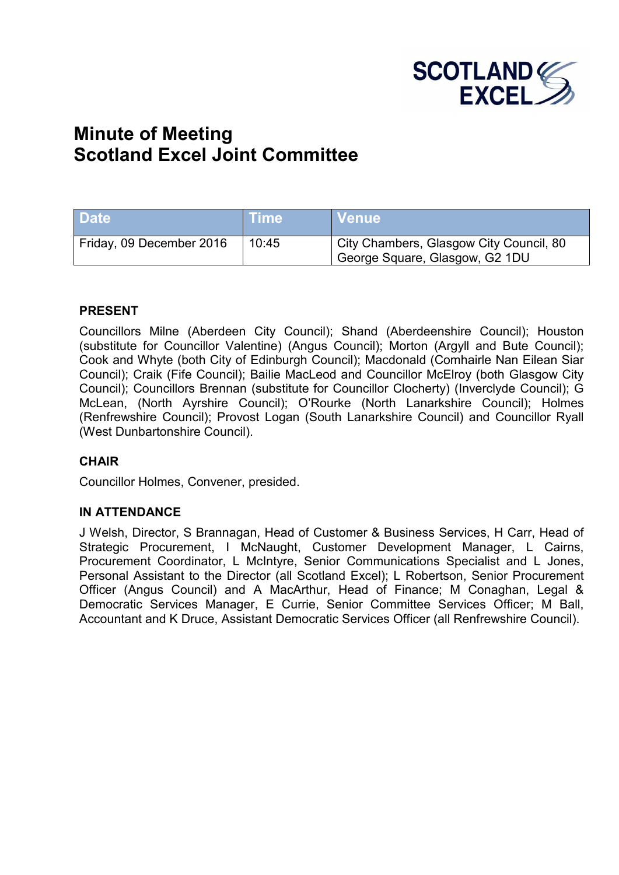

# **Minute of Meeting Scotland Excel Joint Committee**

| <b>Date</b>              | <b>Time</b> | I Venue !                                                                 |
|--------------------------|-------------|---------------------------------------------------------------------------|
| Friday, 09 December 2016 | 10:45       | City Chambers, Glasgow City Council, 80<br>George Square, Glasgow, G2 1DU |

#### **PRESENT**

Councillors Milne (Aberdeen City Council); Shand (Aberdeenshire Council); Houston (substitute for Councillor Valentine) (Angus Council); Morton (Argyll and Bute Council); Cook and Whyte (both City of Edinburgh Council); Macdonald (Comhairle Nan Eilean Siar Council); Craik (Fife Council); Bailie MacLeod and Councillor McElroy (both Glasgow City Council); Councillors Brennan (substitute for Councillor Clocherty) (Inverclyde Council); G McLean, (North Ayrshire Council); O'Rourke (North Lanarkshire Council); Holmes (Renfrewshire Council); Provost Logan (South Lanarkshire Council) and Councillor Ryall (West Dunbartonshire Council).

#### **CHAIR**

Councillor Holmes, Convener, presided.

#### **IN ATTENDANCE**

J Welsh, Director, S Brannagan, Head of Customer & Business Services, H Carr, Head of Strategic Procurement, I McNaught, Customer Development Manager, L Cairns, Procurement Coordinator, L McIntyre, Senior Communications Specialist and L Jones, Personal Assistant to the Director (all Scotland Excel); L Robertson, Senior Procurement Officer (Angus Council) and A MacArthur, Head of Finance; M Conaghan, Legal & Democratic Services Manager, E Currie, Senior Committee Services Officer; M Ball, Accountant and K Druce, Assistant Democratic Services Officer (all Renfrewshire Council).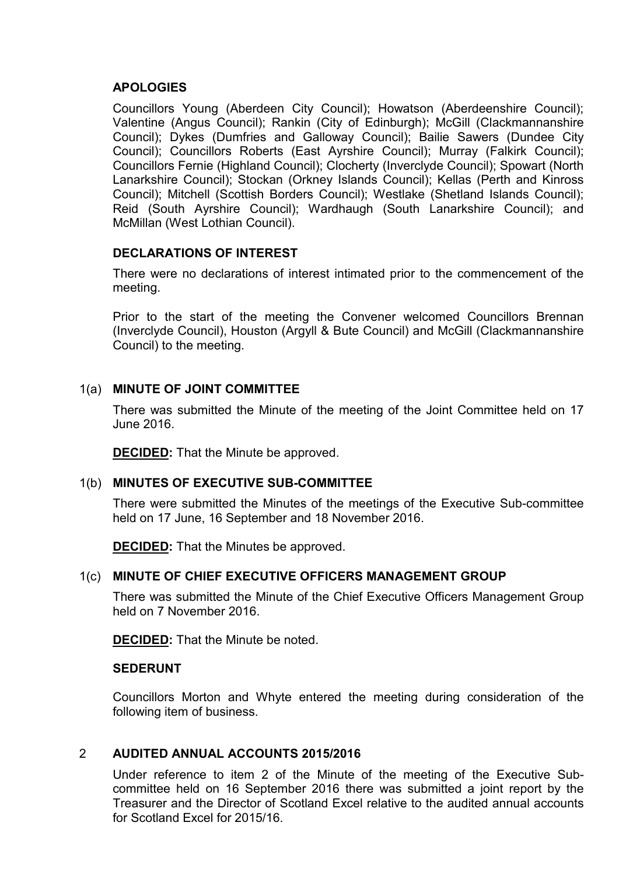## **APOLOGIES**

Councillors Young (Aberdeen City Council); Howatson (Aberdeenshire Council); Valentine (Angus Council); Rankin (City of Edinburgh); McGill (Clackmannanshire Council); Dykes (Dumfries and Galloway Council); Bailie Sawers (Dundee City Council); Councillors Roberts (East Ayrshire Council); Murray (Falkirk Council); Councillors Fernie (Highland Council); Clocherty (Inverclyde Council); Spowart (North Lanarkshire Council); Stockan (Orkney Islands Council); Kellas (Perth and Kinross Council); Mitchell (Scottish Borders Council); Westlake (Shetland Islands Council); Reid (South Ayrshire Council); Wardhaugh (South Lanarkshire Council); and McMillan (West Lothian Council).

## **DECLARATIONS OF INTEREST**

There were no declarations of interest intimated prior to the commencement of the meeting.

Prior to the start of the meeting the Convener welcomed Councillors Brennan (Inverclyde Council), Houston (Argyll & Bute Council) and McGill (Clackmannanshire Council) to the meeting.

## 1(a) **MINUTE OF JOINT COMMITTEE**

There was submitted the Minute of the meeting of the Joint Committee held on 17 June 2016.

**DECIDED:** That the Minute be approved.

## 1(b) **MINUTES OF EXECUTIVE SUB-COMMITTEE**

There were submitted the Minutes of the meetings of the Executive Sub-committee held on 17 June, 16 September and 18 November 2016.

**DECIDED:** That the Minutes be approved.

## 1(c) **MINUTE OF CHIEF EXECUTIVE OFFICERS MANAGEMENT GROUP**

There was submitted the Minute of the Chief Executive Officers Management Group held on 7 November 2016.

**DECIDED:** That the Minute be noted.

#### **SEDERUNT**

Councillors Morton and Whyte entered the meeting during consideration of the following item of business.

# 2 **AUDITED ANNUAL ACCOUNTS 2015/2016**

Under reference to item 2 of the Minute of the meeting of the Executive Subcommittee held on 16 September 2016 there was submitted a joint report by the Treasurer and the Director of Scotland Excel relative to the audited annual accounts for Scotland Excel for 2015/16.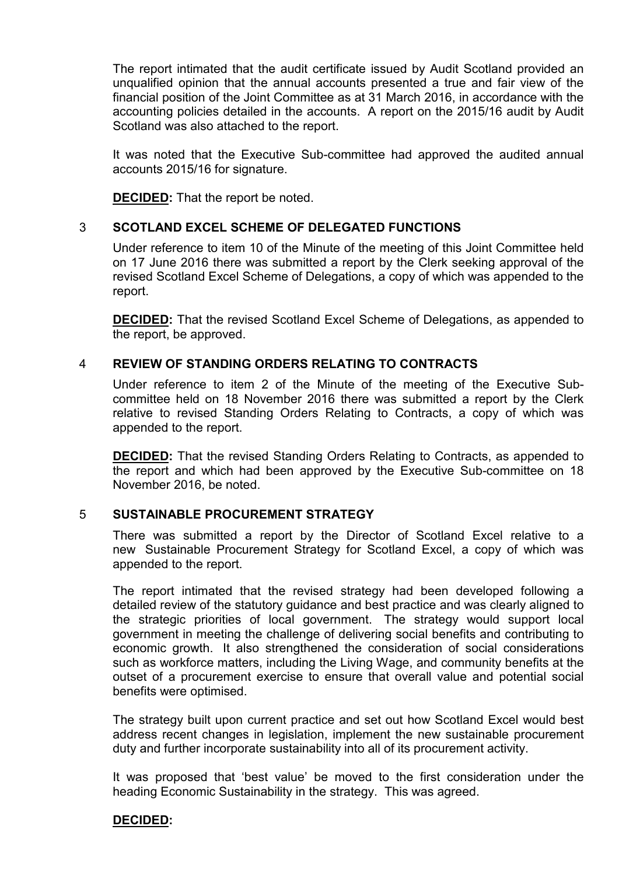The report intimated that the audit certificate issued by Audit Scotland provided an unqualified opinion that the annual accounts presented a true and fair view of the financial position of the Joint Committee as at 31 March 2016, in accordance with the accounting policies detailed in the accounts. A report on the 2015/16 audit by Audit Scotland was also attached to the report.

It was noted that the Executive Sub-committee had approved the audited annual accounts 2015/16 for signature.

**DECIDED:** That the report be noted.

## 3 **SCOTLAND EXCEL SCHEME OF DELEGATED FUNCTIONS**

Under reference to item 10 of the Minute of the meeting of this Joint Committee held on 17 June 2016 there was submitted a report by the Clerk seeking approval of the revised Scotland Excel Scheme of Delegations, a copy of which was appended to the report.

**DECIDED:** That the revised Scotland Excel Scheme of Delegations, as appended to the report, be approved.

## 4 **REVIEW OF STANDING ORDERS RELATING TO CONTRACTS**

Under reference to item 2 of the Minute of the meeting of the Executive Subcommittee held on 18 November 2016 there was submitted a report by the Clerk relative to revised Standing Orders Relating to Contracts, a copy of which was appended to the report.

**DECIDED:** That the revised Standing Orders Relating to Contracts, as appended to the report and which had been approved by the Executive Sub-committee on 18 November 2016, be noted.

## 5 **SUSTAINABLE PROCUREMENT STRATEGY**

There was submitted a report by the Director of Scotland Excel relative to a new Sustainable Procurement Strategy for Scotland Excel, a copy of which was appended to the report.

The report intimated that the revised strategy had been developed following a detailed review of the statutory guidance and best practice and was clearly aligned to the strategic priorities of local government. The strategy would support local government in meeting the challenge of delivering social benefits and contributing to economic growth. It also strengthened the consideration of social considerations such as workforce matters, including the Living Wage, and community benefits at the outset of a procurement exercise to ensure that overall value and potential social benefits were optimised.

The strategy built upon current practice and set out how Scotland Excel would best address recent changes in legislation, implement the new sustainable procurement duty and further incorporate sustainability into all of its procurement activity.

It was proposed that 'best value' be moved to the first consideration under the heading Economic Sustainability in the strategy. This was agreed.

## **DECIDED:**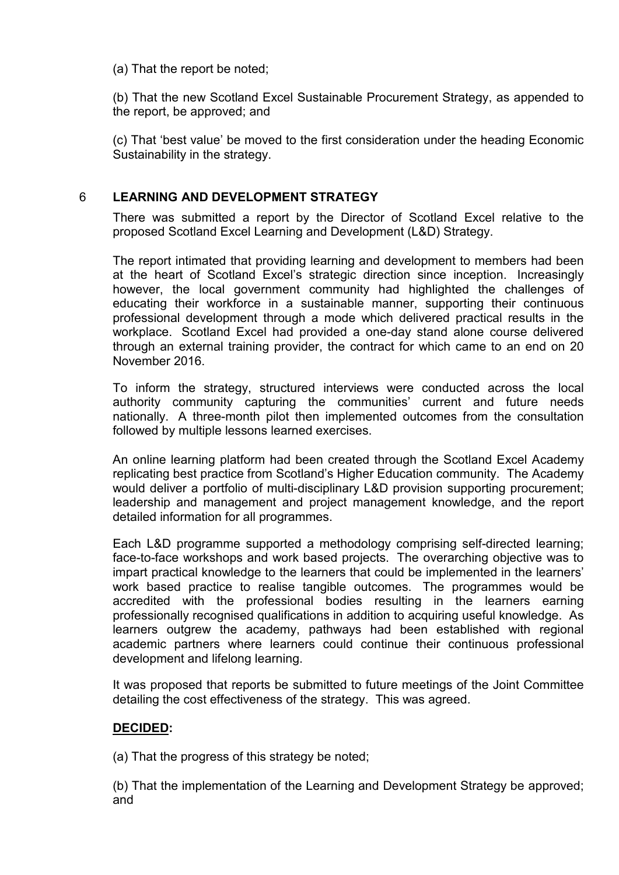(a) That the report be noted;

(b) That the new Scotland Excel Sustainable Procurement Strategy, as appended to the report, be approved; and

(c) That 'best value' be moved to the first consideration under the heading Economic Sustainability in the strategy.

## 6 **LEARNING AND DEVELOPMENT STRATEGY**

There was submitted a report by the Director of Scotland Excel relative to the proposed Scotland Excel Learning and Development (L&D) Strategy.

The report intimated that providing learning and development to members had been at the heart of Scotland Excel's strategic direction since inception. Increasingly however, the local government community had highlighted the challenges of educating their workforce in a sustainable manner, supporting their continuous professional development through a mode which delivered practical results in the workplace. Scotland Excel had provided a one-day stand alone course delivered through an external training provider, the contract for which came to an end on 20 November 2016.

To inform the strategy, structured interviews were conducted across the local authority community capturing the communities' current and future needs nationally. A three-month pilot then implemented outcomes from the consultation followed by multiple lessons learned exercises.

An online learning platform had been created through the Scotland Excel Academy replicating best practice from Scotland's Higher Education community. The Academy would deliver a portfolio of multi-disciplinary L&D provision supporting procurement; leadership and management and project management knowledge, and the report detailed information for all programmes.

Each L&D programme supported a methodology comprising self-directed learning; face-to-face workshops and work based projects. The overarching objective was to impart practical knowledge to the learners that could be implemented in the learners' work based practice to realise tangible outcomes. The programmes would be accredited with the professional bodies resulting in the learners earning professionally recognised qualifications in addition to acquiring useful knowledge. As learners outgrew the academy, pathways had been established with regional academic partners where learners could continue their continuous professional development and lifelong learning.

It was proposed that reports be submitted to future meetings of the Joint Committee detailing the cost effectiveness of the strategy. This was agreed.

## **DECIDED:**

(a) That the progress of this strategy be noted;

(b) That the implementation of the Learning and Development Strategy be approved; and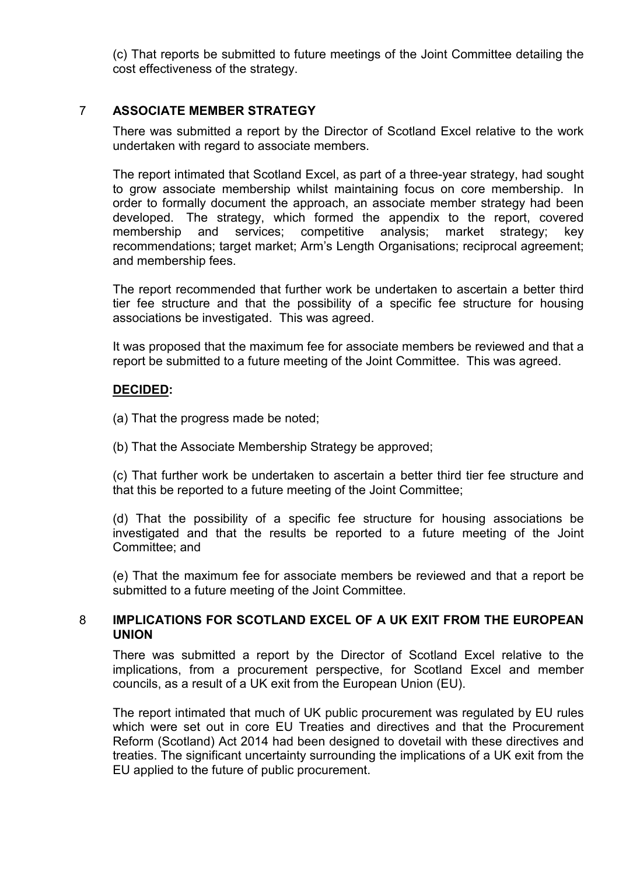(c) That reports be submitted to future meetings of the Joint Committee detailing the cost effectiveness of the strategy.

## 7 **ASSOCIATE MEMBER STRATEGY**

There was submitted a report by the Director of Scotland Excel relative to the work undertaken with regard to associate members.

The report intimated that Scotland Excel, as part of a three-year strategy, had sought to grow associate membership whilst maintaining focus on core membership. In order to formally document the approach, an associate member strategy had been developed. The strategy, which formed the appendix to the report, covered membership and services; competitive analysis; market strategy; key recommendations; target market; Arm's Length Organisations; reciprocal agreement; and membership fees.

The report recommended that further work be undertaken to ascertain a better third tier fee structure and that the possibility of a specific fee structure for housing associations be investigated. This was agreed.

It was proposed that the maximum fee for associate members be reviewed and that a report be submitted to a future meeting of the Joint Committee. This was agreed.

## **DECIDED:**

- (a) That the progress made be noted;
- (b) That the Associate Membership Strategy be approved;

(c) That further work be undertaken to ascertain a better third tier fee structure and that this be reported to a future meeting of the Joint Committee;

(d) That the possibility of a specific fee structure for housing associations be investigated and that the results be reported to a future meeting of the Joint Committee; and

(e) That the maximum fee for associate members be reviewed and that a report be submitted to a future meeting of the Joint Committee.

#### 8 **IMPLICATIONS FOR SCOTLAND EXCEL OF A UK EXIT FROM THE EUROPEAN UNION**

There was submitted a report by the Director of Scotland Excel relative to the implications, from a procurement perspective, for Scotland Excel and member councils, as a result of a UK exit from the European Union (EU).

The report intimated that much of UK public procurement was regulated by EU rules which were set out in core EU Treaties and directives and that the Procurement Reform (Scotland) Act 2014 had been designed to dovetail with these directives and treaties. The significant uncertainty surrounding the implications of a UK exit from the EU applied to the future of public procurement.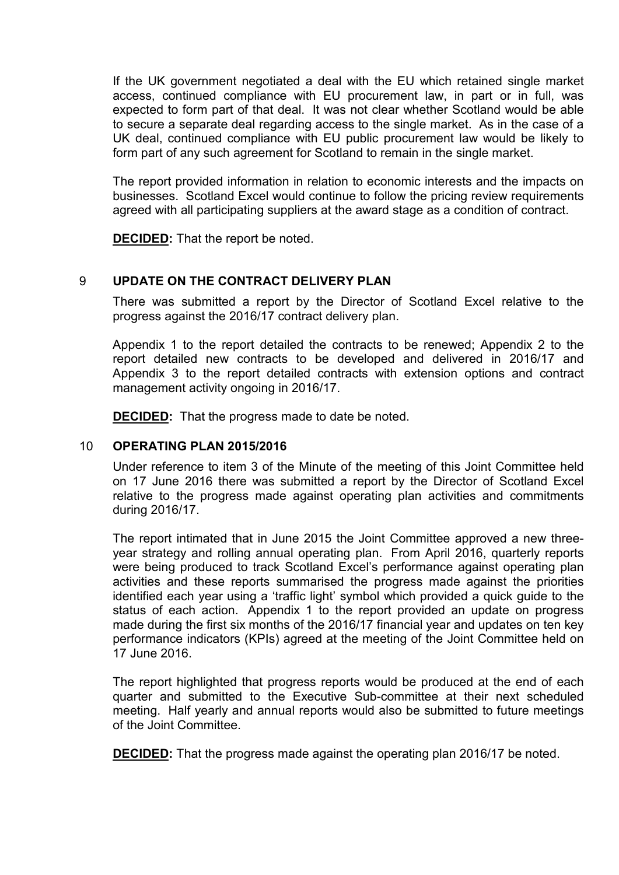If the UK government negotiated a deal with the EU which retained single market access, continued compliance with EU procurement law, in part or in full, was expected to form part of that deal. It was not clear whether Scotland would be able to secure a separate deal regarding access to the single market. As in the case of a UK deal, continued compliance with EU public procurement law would be likely to form part of any such agreement for Scotland to remain in the single market.

The report provided information in relation to economic interests and the impacts on businesses. Scotland Excel would continue to follow the pricing review requirements agreed with all participating suppliers at the award stage as a condition of contract.

**DECIDED:** That the report be noted.

## 9 **UPDATE ON THE CONTRACT DELIVERY PLAN**

There was submitted a report by the Director of Scotland Excel relative to the progress against the 2016/17 contract delivery plan.

Appendix 1 to the report detailed the contracts to be renewed; Appendix 2 to the report detailed new contracts to be developed and delivered in 2016/17 and Appendix 3 to the report detailed contracts with extension options and contract management activity ongoing in 2016/17.

**DECIDED:** That the progress made to date be noted.

#### 10 **OPERATING PLAN 2015/2016**

Under reference to item 3 of the Minute of the meeting of this Joint Committee held on 17 June 2016 there was submitted a report by the Director of Scotland Excel relative to the progress made against operating plan activities and commitments during 2016/17.

The report intimated that in June 2015 the Joint Committee approved a new threeyear strategy and rolling annual operating plan. From April 2016, quarterly reports were being produced to track Scotland Excel's performance against operating plan activities and these reports summarised the progress made against the priorities identified each year using a 'traffic light' symbol which provided a quick guide to the status of each action. Appendix 1 to the report provided an update on progress made during the first six months of the 2016/17 financial year and updates on ten key performance indicators (KPIs) agreed at the meeting of the Joint Committee held on 17 June 2016.

The report highlighted that progress reports would be produced at the end of each quarter and submitted to the Executive Sub-committee at their next scheduled meeting. Half yearly and annual reports would also be submitted to future meetings of the Joint Committee.

**DECIDED:** That the progress made against the operating plan 2016/17 be noted.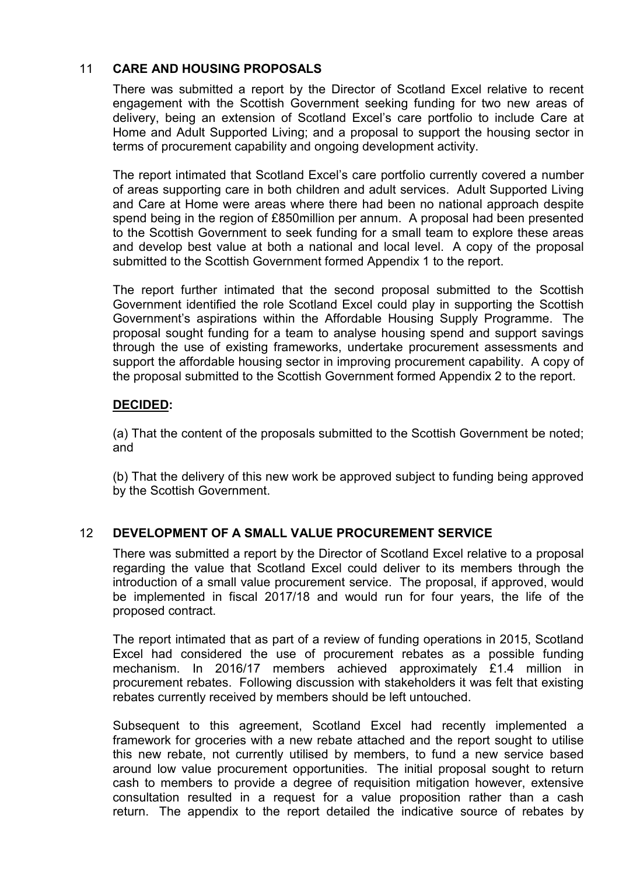# 11 **CARE AND HOUSING PROPOSALS**

There was submitted a report by the Director of Scotland Excel relative to recent engagement with the Scottish Government seeking funding for two new areas of delivery, being an extension of Scotland Excel's care portfolio to include Care at Home and Adult Supported Living; and a proposal to support the housing sector in terms of procurement capability and ongoing development activity.

The report intimated that Scotland Excel's care portfolio currently covered a number of areas supporting care in both children and adult services. Adult Supported Living and Care at Home were areas where there had been no national approach despite spend being in the region of £850million per annum. A proposal had been presented to the Scottish Government to seek funding for a small team to explore these areas and develop best value at both a national and local level. A copy of the proposal submitted to the Scottish Government formed Appendix 1 to the report.

The report further intimated that the second proposal submitted to the Scottish Government identified the role Scotland Excel could play in supporting the Scottish Government's aspirations within the Affordable Housing Supply Programme. The proposal sought funding for a team to analyse housing spend and support savings through the use of existing frameworks, undertake procurement assessments and support the affordable housing sector in improving procurement capability. A copy of the proposal submitted to the Scottish Government formed Appendix 2 to the report.

## **DECIDED:**

(a) That the content of the proposals submitted to the Scottish Government be noted; and

(b) That the delivery of this new work be approved subject to funding being approved by the Scottish Government.

# 12 **DEVELOPMENT OF A SMALL VALUE PROCUREMENT SERVICE**

There was submitted a report by the Director of Scotland Excel relative to a proposal regarding the value that Scotland Excel could deliver to its members through the introduction of a small value procurement service. The proposal, if approved, would be implemented in fiscal 2017/18 and would run for four years, the life of the proposed contract.

The report intimated that as part of a review of funding operations in 2015, Scotland Excel had considered the use of procurement rebates as a possible funding mechanism. In 2016/17 members achieved approximately £1.4 million in procurement rebates. Following discussion with stakeholders it was felt that existing rebates currently received by members should be left untouched.

Subsequent to this agreement, Scotland Excel had recently implemented a framework for groceries with a new rebate attached and the report sought to utilise this new rebate, not currently utilised by members, to fund a new service based around low value procurement opportunities. The initial proposal sought to return cash to members to provide a degree of requisition mitigation however, extensive consultation resulted in a request for a value proposition rather than a cash return. The appendix to the report detailed the indicative source of rebates by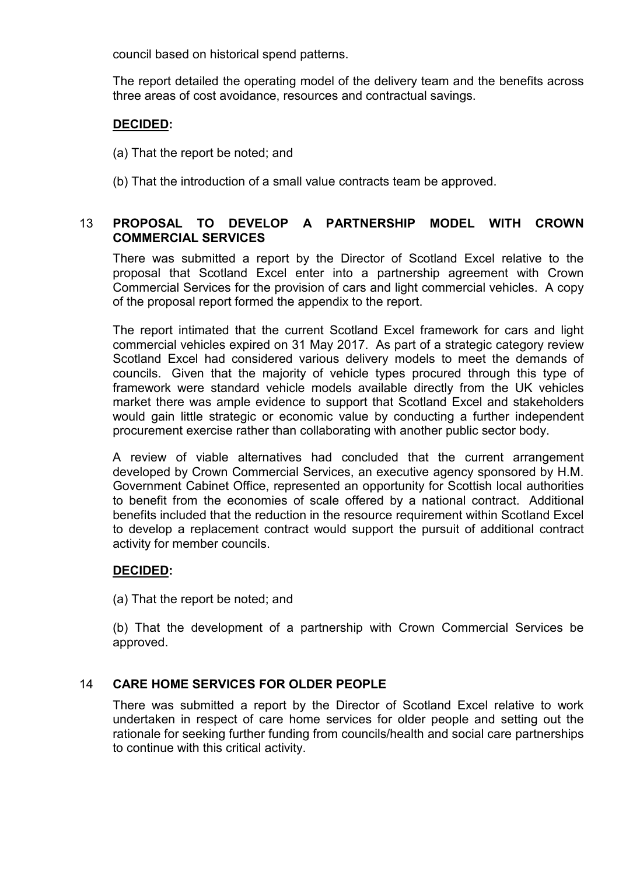council based on historical spend patterns.

The report detailed the operating model of the delivery team and the benefits across three areas of cost avoidance, resources and contractual savings.

# **DECIDED:**

- (a) That the report be noted; and
- (b) That the introduction of a small value contracts team be approved.

# 13 **PROPOSAL TO DEVELOP A PARTNERSHIP MODEL WITH CROWN COMMERCIAL SERVICES**

There was submitted a report by the Director of Scotland Excel relative to the proposal that Scotland Excel enter into a partnership agreement with Crown Commercial Services for the provision of cars and light commercial vehicles. A copy of the proposal report formed the appendix to the report.

The report intimated that the current Scotland Excel framework for cars and light commercial vehicles expired on 31 May 2017. As part of a strategic category review Scotland Excel had considered various delivery models to meet the demands of councils. Given that the majority of vehicle types procured through this type of framework were standard vehicle models available directly from the UK vehicles market there was ample evidence to support that Scotland Excel and stakeholders would gain little strategic or economic value by conducting a further independent procurement exercise rather than collaborating with another public sector body.

A review of viable alternatives had concluded that the current arrangement developed by Crown Commercial Services, an executive agency sponsored by H.M. Government Cabinet Office, represented an opportunity for Scottish local authorities to benefit from the economies of scale offered by a national contract. Additional benefits included that the reduction in the resource requirement within Scotland Excel to develop a replacement contract would support the pursuit of additional contract activity for member councils.

# **DECIDED:**

(a) That the report be noted; and

(b) That the development of a partnership with Crown Commercial Services be approved.

# 14 **CARE HOME SERVICES FOR OLDER PEOPLE**

There was submitted a report by the Director of Scotland Excel relative to work undertaken in respect of care home services for older people and setting out the rationale for seeking further funding from councils/health and social care partnerships to continue with this critical activity.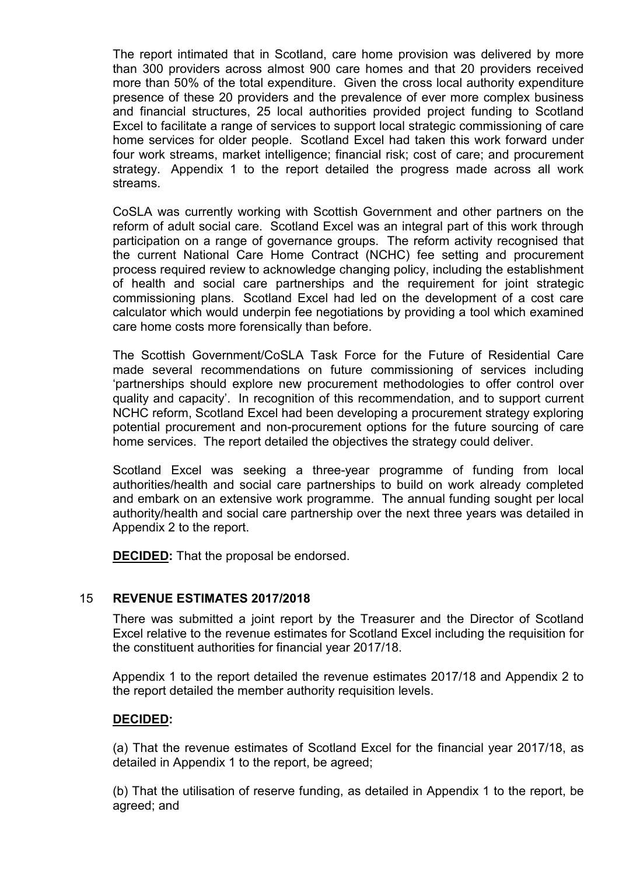The report intimated that in Scotland, care home provision was delivered by more than 300 providers across almost 900 care homes and that 20 providers received more than 50% of the total expenditure. Given the cross local authority expenditure presence of these 20 providers and the prevalence of ever more complex business and financial structures, 25 local authorities provided project funding to Scotland Excel to facilitate a range of services to support local strategic commissioning of care home services for older people. Scotland Excel had taken this work forward under four work streams, market intelligence; financial risk; cost of care; and procurement strategy. Appendix 1 to the report detailed the progress made across all work streams.

CoSLA was currently working with Scottish Government and other partners on the reform of adult social care. Scotland Excel was an integral part of this work through participation on a range of governance groups. The reform activity recognised that the current National Care Home Contract (NCHC) fee setting and procurement process required review to acknowledge changing policy, including the establishment of health and social care partnerships and the requirement for joint strategic commissioning plans. Scotland Excel had led on the development of a cost care calculator which would underpin fee negotiations by providing a tool which examined care home costs more forensically than before.

The Scottish Government/CoSLA Task Force for the Future of Residential Care made several recommendations on future commissioning of services including 'partnerships should explore new procurement methodologies to offer control over quality and capacity'. In recognition of this recommendation, and to support current NCHC reform, Scotland Excel had been developing a procurement strategy exploring potential procurement and non-procurement options for the future sourcing of care home services. The report detailed the objectives the strategy could deliver.

Scotland Excel was seeking a three-year programme of funding from local authorities/health and social care partnerships to build on work already completed and embark on an extensive work programme. The annual funding sought per local authority/health and social care partnership over the next three years was detailed in Appendix 2 to the report.

**DECIDED:** That the proposal be endorsed.

## 15 **REVENUE ESTIMATES 2017/2018**

There was submitted a joint report by the Treasurer and the Director of Scotland Excel relative to the revenue estimates for Scotland Excel including the requisition for the constituent authorities for financial year 2017/18.

Appendix 1 to the report detailed the revenue estimates 2017/18 and Appendix 2 to the report detailed the member authority requisition levels.

## **DECIDED:**

(a) That the revenue estimates of Scotland Excel for the financial year 2017/18, as detailed in Appendix 1 to the report, be agreed;

(b) That the utilisation of reserve funding, as detailed in Appendix 1 to the report, be agreed; and